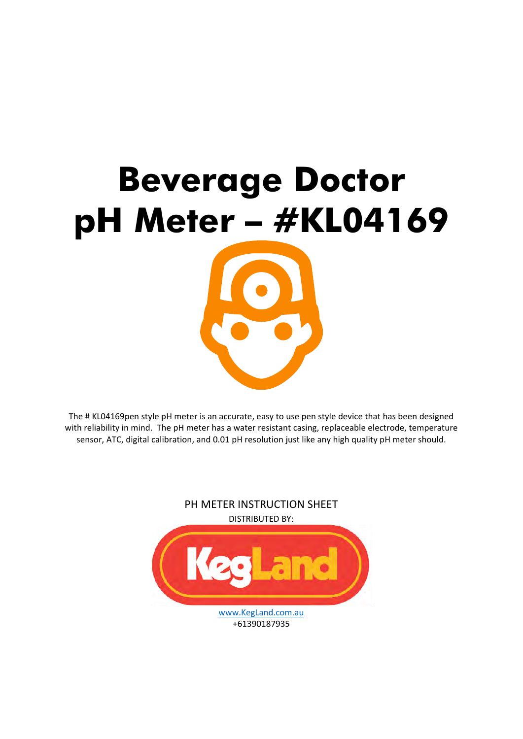

The # KL04169pen style pH meter is an accurate, easy to use pen style device that has been designed with reliability in mind. The pH meter has a water resistant casing, replaceable electrode, temperature sensor, ATC, digital calibration, and 0.01 pH resolution just like any high quality pH meter should.

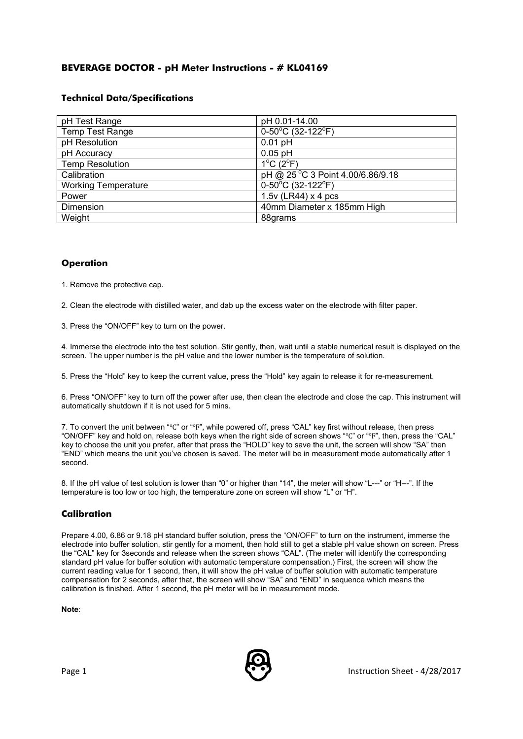# **BEVERAGE DOCTOR - pH Meter Instructions - # KL04169**

## **Technical Data/Specifications**

| pH Test Range              | pH 0.01-14.00                          |  |
|----------------------------|----------------------------------------|--|
| <b>Temp Test Range</b>     | $0-50^{\circ}$ C (32-122 $^{\circ}$ F) |  |
| pH Resolution              | $0.01$ pH                              |  |
| pH Accuracy                | $0.05$ pH                              |  |
| <b>Temp Resolution</b>     | $1^{\circ}$ C $(2^{\circ}F)$           |  |
| Calibration                | pH @ 25 °C 3 Point 4.00/6.86/9.18      |  |
| <b>Working Temperature</b> | $0-50^{\circ}$ C (32-122 $^{\circ}$ F) |  |
| Power                      | $1.5v$ (LR44) x 4 pcs                  |  |
| Dimension                  | 40mm Diameter x 185mm High             |  |
| Weight                     | 88grams                                |  |

## **Operation**

1. Remove the protective cap.

2. Clean the electrode with distilled water, and dab up the excess water on the electrode with filter paper.

3. Press the "ON/OFF" key to turn on the power.

4. Immerse the electrode into the test solution. Stir gently, then, wait until a stable numerical result is displayed on the screen. The upper number is the pH value and the lower number is the temperature of solution.

5. Press the "Hold" key to keep the current value, press the "Hold" key again to release it for re-measurement.

6. Press "ON/OFF" key to turn off the power after use, then clean the electrode and close the cap. This instrument will automatically shutdown if it is not used for 5 mins.

7. To convert the unit between "℃" or "℉", while powered off, press "CAL" key first without release, then press "ON/OFF" key and hold on, release both keys when the right side of screen shows "℃" or "℉", then, press the "CAL" key to choose the unit you prefer, after that press the "HOLD" key to save the unit, the screen will show "SA" then "END" which means the unit you've chosen is saved. The meter will be in measurement mode automatically after 1 second.

8. If the pH value of test solution is lower than "0" or higher than "14", the meter will show "L---" or "H---". If the temperature is too low or too high, the temperature zone on screen will show "L" or "H".

# **Calibration**

Prepare 4.00, 6.86 or 9.18 pH standard buffer solution, press the "ON/OFF" to turn on the instrument, immerse the electrode into buffer solution, stir gently for a moment, then hold still to get a stable pH value shown on screen. Press the "CAL" key for 3seconds and release when the screen shows "CAL". (The meter will identify the corresponding standard pH value for buffer solution with automatic temperature compensation.) First, the screen will show the current reading value for 1 second, then, it will show the pH value of buffer solution with automatic temperature compensation for 2 seconds, after that, the screen will show "SA" and "END" in sequence which means the calibration is finished. After 1 second, the pH meter will be in measurement mode.

**Note**:

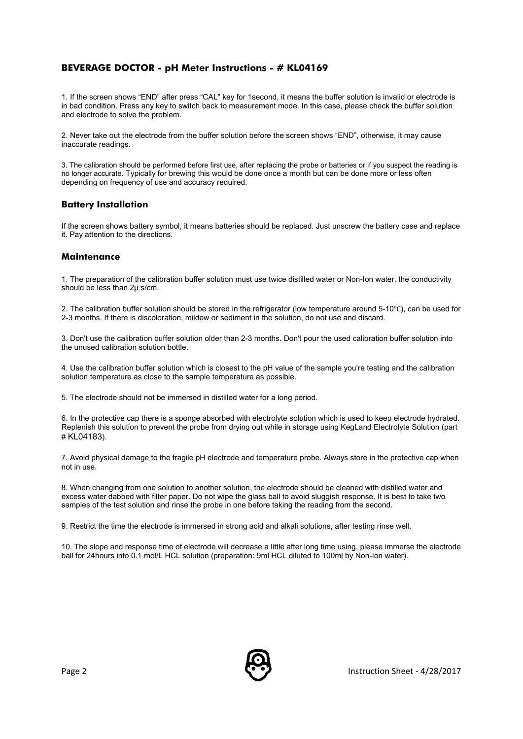## **BEVERAGE DOCTOR - pH Meter Instructions - # KL04169**

1. If the screen shows "END" after press "CAL" key for 1second, it means the buffer solution is invalid or electrode is in bad condition. Press any key to switch back to measurement mode. In this case, please check the buffer solution and electrode to solve the problem.

2. Never take out the electrode from the buffer solution before the screen shows "END", otherwise, it may cause inaccurate readings.

3. The calibration should be performed before first use, after replacing the probe or batteries or if you suspect the reading is no longer accurate. Typically for brewing this would be done once a month but can be done more or less often depending on frequency of use and accuracy required.

### **Battery Installation**

If the screen shows battery symbol, it means batteries should be replaced. Just unscrew the battery case and replace it. Pay attention to the directions.

### **Maintenance**

1. The preparation of the calibration buffer solution must use twice distilled water or Non-Ion water, the conductivity should be less than 2μ s/cm.

2. The calibration buffer solution should be stored in the refrigerator (low temperature around 5-10℃), can be used for 2-3 months. If there is discoloration, mildew or sediment in the solution, do not use and discard.

3. Don't use the calibration buffer solution older than 2-3 months. Don't pour the used calibration buffer solution into the unused calibration solution bottle.

4. Use the calibration buffer solution which is closest to the pH value of the sample you're testing and the calibration solution temperature as close to the sample temperature as possible.

5. The electrode should not be immersed in distilled water for a long period.

6. In the protective cap there is a sponge absorbed with electrolyte solution which is used to keep electrode hydrated. Replenish this solution to prevent the probe from drying out while in storage using KegLand Electrolyte Solution (part # KL04183).

7. Avoid physical damage to the fragile pH electrode and temperature probe. Always store in the protective cap when not in use.

8. When changing from one solution to another solution, the electrode should be cleaned with distilled water and excess water dabbed with filter paper. Do not wipe the glass ball to avoid sluggish response. It is best to take two samples of the test solution and rinse the probe in one before taking the reading from the second.

9. Restrict the time the electrode is immersed in strong acid and alkali solutions, after testing rinse well.

10. The slope and response time of electrode will decrease a little after long time using, please immerse the electrode ball for 24hours into 0.1 mol/L HCL solution (preparation: 9ml HCL diluted to 100ml by Non-Ion water).